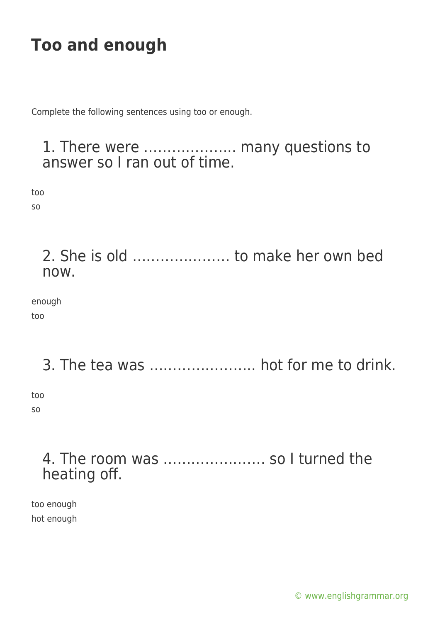Complete the following sentences using too or enough.

#### 1. There were ……………….. many questions to answer so I ran out of time.

too

so

2. She is old ………………… to make her own bed now.

enough too

### 3. The tea was ………………….. hot for me to drink.

too so

### 4. The room was …………………. so I turned the heating off.

too enough hot enough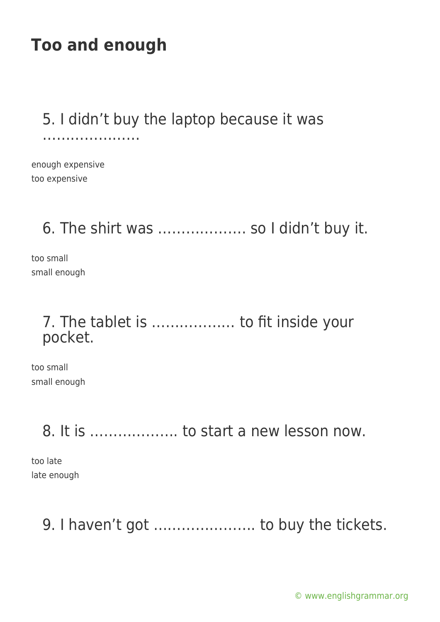### 5. I didn't buy the laptop because it was

……………………………

enough expensive too expensive

6. The shirt was ………………. so I didn't buy it.

too small small enough

### 7. The tablet is ……………… to fit inside your pocket.

too small small enough

8. It is ………………. to start a new lesson now.

too late late enough

9. I haven't got …………………. to buy the tickets.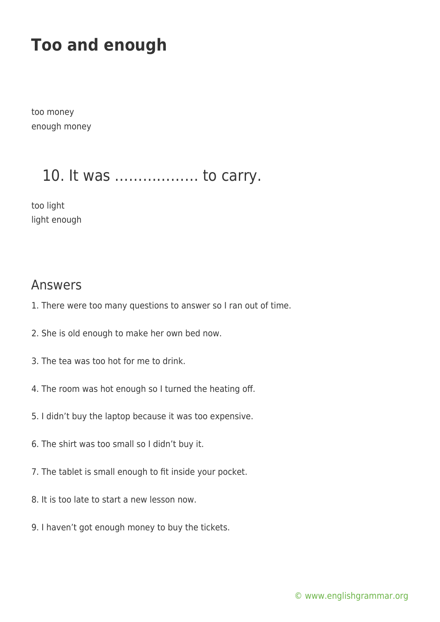too money enough money

### 10. It was ……………… to carry.

too light light enough

#### Answers

- 1. There were too many questions to answer so I ran out of time.
- 2. She is old enough to make her own bed now.
- 3. The tea was too hot for me to drink.
- 4. The room was hot enough so I turned the heating off.
- 5. I didn't buy the laptop because it was too expensive.
- 6. The shirt was too small so I didn't buy it.
- 7. The tablet is small enough to fit inside your pocket.
- 8. It is too late to start a new lesson now.
- 9. I haven't got enough money to buy the tickets.